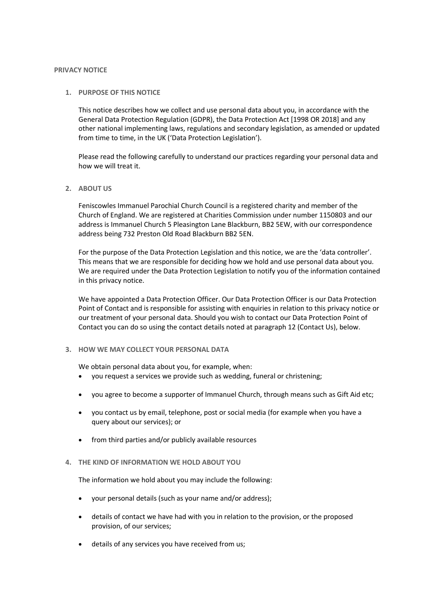#### **PRIVACY NOTICE**

# **1. PURPOSE OF THIS NOTICE**

This notice describes how we collect and use personal data about you, in accordance with the General Data Protection Regulation (GDPR), the Data Protection Act [1998 OR 2018] and any other national implementing laws, regulations and secondary legislation, as amended or updated from time to time, in the UK ('Data Protection Legislation').

Please read the following carefully to understand our practices regarding your personal data and how we will treat it.

#### **2. ABOUT US**

Feniscowles Immanuel Parochial Church Council is a registered charity and member of the Church of England. We are registered at Charities Commission under number 1150803 and our address is Immanuel Church 5 Pleasington Lane Blackburn, BB2 5EW, with our correspondence address being 732 Preston Old Road Blackburn BB2 5EN.

For the purpose of the Data Protection Legislation and this notice, we are the 'data controller'. This means that we are responsible for deciding how we hold and use personal data about you. We are required under the Data Protection Legislation to notify you of the information contained in this privacy notice.

We have appointed a Data Protection Officer. Our Data Protection Officer is our Data Protection Point of Contact and is responsible for assisting with enquiries in relation to this privacy notice or our treatment of your personal data. Should you wish to contact our Data Protection Point of Contact you can do so using the contact details noted at paragraph 12 (Contact Us), below.

# **3. HOW WE MAY COLLECT YOUR PERSONAL DATA**

We obtain personal data about you, for example, when:

- you request a services we provide such as wedding, funeral or christening;
- you agree to become a supporter of Immanuel Church, through means such as Gift Aid etc;
- you contact us by email, telephone, post or social media (for example when you have a query about our services); or
- from third parties and/or publicly available resources

# **4. THE KIND OF INFORMATION WE HOLD ABOUT YOU**

The information we hold about you may include the following:

- your personal details (such as your name and/or address);
- details of contact we have had with you in relation to the provision, or the proposed provision, of our services;
- details of any services you have received from us;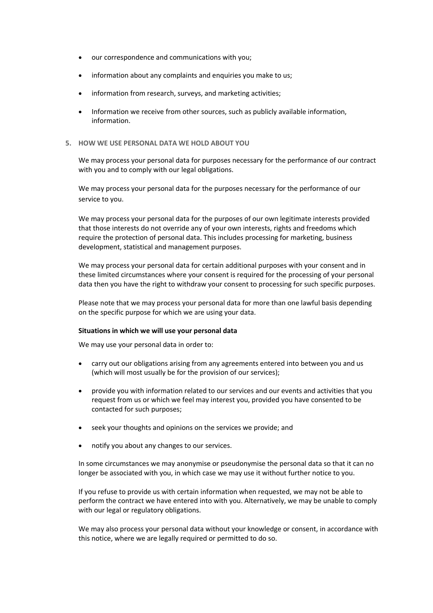- our correspondence and communications with you;
- information about any complaints and enquiries you make to us;
- information from research, surveys, and marketing activities;
- Information we receive from other sources, such as publicly available information, information.

# **5. HOW WE USE PERSONAL DATA WE HOLD ABOUT YOU**

We may process your personal data for purposes necessary for the performance of our contract with you and to comply with our legal obligations.

We may process your personal data for the purposes necessary for the performance of our service to you.

We may process your personal data for the purposes of our own legitimate interests provided that those interests do not override any of your own interests, rights and freedoms which require the protection of personal data. This includes processing for marketing, business development, statistical and management purposes.

We may process your personal data for certain additional purposes with your consent and in these limited circumstances where your consent is required for the processing of your personal data then you have the right to withdraw your consent to processing for such specific purposes.

Please note that we may process your personal data for more than one lawful basis depending on the specific purpose for which we are using your data.

# **Situations in which we will use your personal data**

We may use your personal data in order to:

- carry out our obligations arising from any agreements entered into between you and us (which will most usually be for the provision of our services);
- provide you with information related to our services and our events and activities that you request from us or which we feel may interest you, provided you have consented to be contacted for such purposes;
- seek your thoughts and opinions on the services we provide; and
- notify you about any changes to our services.

In some circumstances we may anonymise or pseudonymise the personal data so that it can no longer be associated with you, in which case we may use it without further notice to you.

If you refuse to provide us with certain information when requested, we may not be able to perform the contract we have entered into with you. Alternatively, we may be unable to comply with our legal or regulatory obligations.

We may also process your personal data without your knowledge or consent, in accordance with this notice, where we are legally required or permitted to do so.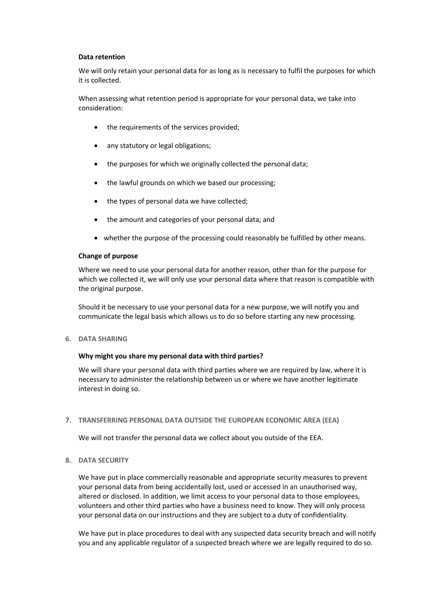# **Data retention**

We will only retain your personal data for as long as is necessary to fulfil the purposes for which it is collected.

When assessing what retention period is appropriate for your personal data, we take into consideration:

- the requirements of the services provided;
- any statutory or legal obligations;
- the purposes for which we originally collected the personal data;
- the lawful grounds on which we based our processing;
- the types of personal data we have collected;
- the amount and categories of your personal data; and
- whether the purpose of the processing could reasonably be fulfilled by other means.

#### **Change of purpose**

Where we need to use your personal data for another reason, other than for the purpose for which we collected it, we will only use your personal data where that reason is compatible with the original purpose.

Should it be necessary to use your personal data for a new purpose, we will notify you and communicate the legal basis which allows us to do so before starting any new processing.

**6. DATA SHARING**

# **Why might you share my personal data with third parties?**

We will share your personal data with third parties where we are required by law, where it is necessary to administer the relationship between us or where we have another legitimate interest in doing so.

# **7. TRANSFERRING PERSONAL DATA OUTSIDE THE EUROPEAN ECONOMIC AREA (EEA)**

We will not transfer the personal data we collect about you outside of the EEA.

**8. DATA SECURITY**

We have put in place commercially reasonable and appropriate security measures to prevent your personal data from being accidentally lost, used or accessed in an unauthorised way, altered or disclosed. In addition, we limit access to your personal data to those employees, volunteers and other third parties who have a business need to know. They will only process your personal data on our instructions and they are subject to a duty of confidentiality.

We have put in place procedures to deal with any suspected data security breach and will notify you and any applicable regulator of a suspected breach where we are legally required to do so.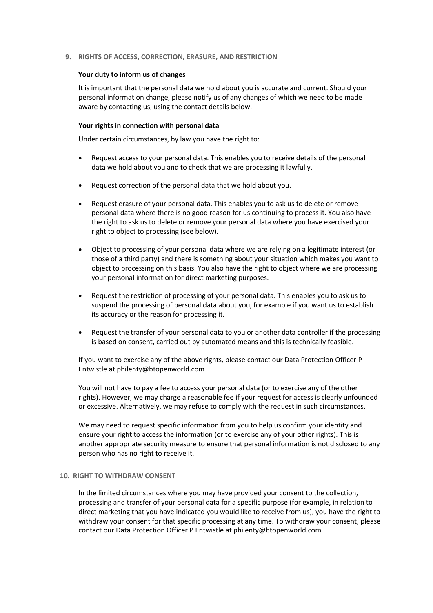# **9. RIGHTS OF ACCESS, CORRECTION, ERASURE, AND RESTRICTION**

#### **Your duty to inform us of changes**

It is important that the personal data we hold about you is accurate and current. Should your personal information change, please notify us of any changes of which we need to be made aware by contacting us, using the contact details below.

#### **Your rights in connection with personal data**

Under certain circumstances, by law you have the right to:

- Request access to your personal data. This enables you to receive details of the personal data we hold about you and to check that we are processing it lawfully.
- Request correction of the personal data that we hold about you.
- Request erasure of your personal data. This enables you to ask us to delete or remove personal data where there is no good reason for us continuing to process it. You also have the right to ask us to delete or remove your personal data where you have exercised your right to object to processing (see below).
- Object to processing of your personal data where we are relying on a legitimate interest (or those of a third party) and there is something about your situation which makes you want to object to processing on this basis. You also have the right to object where we are processing your personal information for direct marketing purposes.
- Request the restriction of processing of your personal data. This enables you to ask us to suspend the processing of personal data about you, for example if you want us to establish its accuracy or the reason for processing it.
- Request the transfer of your personal data to you or another data controller if the processing is based on consent, carried out by automated means and this is technically feasible.

If you want to exercise any of the above rights, please contact our Data Protection Officer P Entwistle at philenty@btopenworld.com

You will not have to pay a fee to access your personal data (or to exercise any of the other rights). However, we may charge a reasonable fee if your request for access is clearly unfounded or excessive. Alternatively, we may refuse to comply with the request in such circumstances.

We may need to request specific information from you to help us confirm your identity and ensure your right to access the information (or to exercise any of your other rights). This is another appropriate security measure to ensure that personal information is not disclosed to any person who has no right to receive it.

#### **10. RIGHT TO WITHDRAW CONSENT**

In the limited circumstances where you may have provided your consent to the collection, processing and transfer of your personal data for a specific purpose (for example, in relation to direct marketing that you have indicated you would like to receive from us), you have the right to withdraw your consent for that specific processing at any time. To withdraw your consent, please contact our Data Protection Officer P Entwistle at philenty@btopenworld.com.